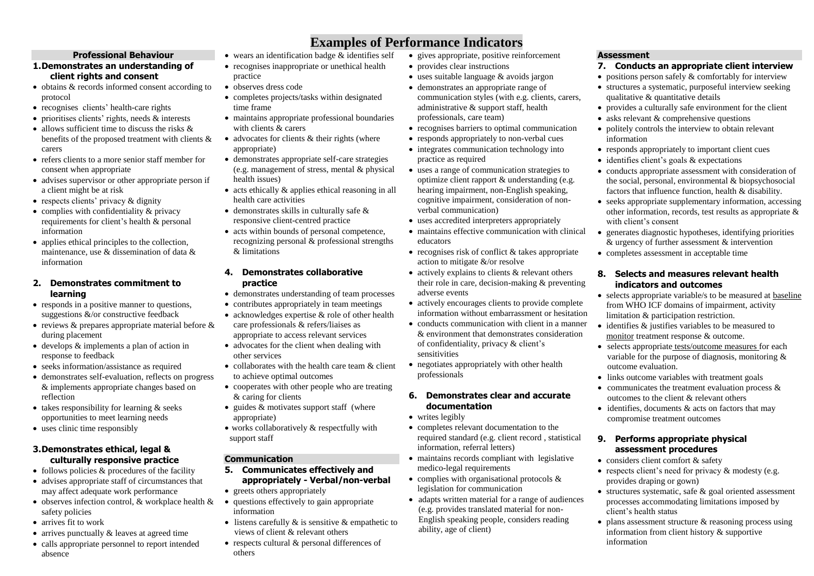#### **Professional Behaviour**

#### **1.Demonstrates an understanding of client rights and consent**

- obtains & records informed consent according to protocol
- recognises clients' health-care rights
- prioritises clients' rights, needs & interests
- allows sufficient time to discuss the risks  $\&$ benefits of the proposed treatment with clients & carers
- refers clients to a more senior staff member for consent when appropriate
- advises supervisor or other appropriate person if a client might be at risk
- $\bullet$  respects clients' privacy & dignity
- complies with confidentiality & privacy requirements for client's health & personal information
- applies ethical principles to the collection, maintenance, use & dissemination of data & information

#### **2. Demonstrates commitment to learning**

- responds in a positive manner to questions, suggestions &/or constructive feedback
- reviews  $\&$  prepares appropriate material before  $\&$ during placement
- develops & implements a plan of action in response to feedback
- seeks information/assistance as required
- demonstrates self-evaluation, reflects on progress & implements appropriate changes based on reflection
- $\bullet$  takes responsibility for learning & seeks opportunities to meet learning needs
- uses clinic time responsibly

#### **3.Demonstrates ethical, legal & culturally responsive practice**

- $\bullet$  follows policies  $\&$  procedures of the facility
- advises appropriate staff of circumstances that may affect adequate work performance
- $\bullet$  observes infection control, & workplace health & safety policies
- arrives fit to work
- arrives punctually & leaves at agreed time
- calls appropriate personnel to report intended absence
- wears an identification badge & identifies self
- recognises inappropriate or unethical health practice
- observes dress code
- completes projects/tasks within designated time frame
- maintains appropriate professional boundaries with clients & carers
- $\bullet$  advocates for clients & their rights (where appropriate)
- demonstrates appropriate self-care strategies (e.g. management of stress, mental & physical health issues)
- $\bullet$  acts ethically  $\&$  applies ethical reasoning in all health care activities
- $\bullet$  demonstrates skills in culturally safe  $\&$ responsive client-centred practice
- acts within bounds of personal competence, recognizing personal & professional strengths & limitations
- **4. Demonstrates collaborative practice**
- demonstrates understanding of team processes
- contributes appropriately in team meetings
- acknowledges expertise  $&$  role of other health care professionals & refers/liaises as appropriate to access relevant services
- advocates for the client when dealing with other services
- collaborates with the health care team  $\&$  client to achieve optimal outcomes
- cooperates with other people who are treating & caring for clients
- $\bullet$  guides  $\&$  motivates support staff (where appropriate)
- works collaboratively & respectfully with support staff

#### **Communication**

- **5. Communicates effectively and appropriately - Verbal/non-verbal**
- greets others appropriately
- questions effectively to gain appropriate information
- $\bullet$  listens carefully  $\&$  is sensitive  $\&$  empathetic to views of client & relevant others
- respects cultural & personal differences of others
- gives appropriate, positive reinforcement
- provides clear instructions

**Examples of Performance Indicators** 

- uses suitable language & avoids jargon
- demonstrates an appropriate range of communication styles (with e.g. clients, carers, administrative & support staff, health professionals, care team)
- recognises barriers to optimal communication
- responds appropriately to non-verbal cues
- integrates communication technology into practice as required
- uses a range of communication strategies to optimize client rapport & understanding (e.g. hearing impairment, non-English speaking, cognitive impairment, consideration of nonverbal communication)
- uses accredited interpreters appropriately
- maintains effective communication with clinical educators
- recognises risk of conflict & takes appropriate action to mitigate &/or resolve
- actively explains to clients & relevant others their role in care, decision-making & preventing adverse events
- actively encourages clients to provide complete information without embarrassment or hesitation
- conducts communication with client in a manner & environment that demonstrates consideration of confidentiality, privacy & client's sensitivities
- negotiates appropriately with other health professionals

#### **6. Demonstrates clear and accurate documentation**

- writes legibly
- completes relevant documentation to the required standard (e.g. client record , statistical information, referral letters)
- maintains records compliant with legislative medico-legal requirements
- complies with organisational protocols  $\&$ legislation for communication
- adapts written material for a range of audiences (e.g. provides translated material for non-English speaking people, considers reading ability, age of client)

#### **Assessment**

## **7. Conducts an appropriate client interview**

- positions person safely & comfortably for interview
- structures a systematic, purposeful interview seeking qualitative & quantitative details
- provides a culturally safe environment for the client
- asks relevant & comprehensive questions
- politely controls the interview to obtain relevant information
- responds appropriately to important client cues
- $\bullet$  identifies client's goals & expectations
- conducts appropriate assessment with consideration of the social, personal, environmental & biopsychosocial factors that influence function, health & disability.
- seeks appropriate supplementary information, accessing other information, records, test results as appropriate & with client's consent
- generates diagnostic hypotheses, identifying priorities & urgency of further assessment & intervention
- completes assessment in acceptable time

## **8. Selects and measures relevant health indicators and outcomes**

- selects appropriate variable/s to be measured at baseline from WHO ICF domains of impairment, activity limitation & participation restriction.
- identifies & justifies variables to be measured to monitor treatment response & outcome.
- selects appropriate tests/outcome measures for each variable for the purpose of diagnosis, monitoring & outcome evaluation.
- links outcome variables with treatment goals
- communicates the treatment evaluation process  $\&$ outcomes to the client & relevant others
- $\bullet$  identifies, documents & acts on factors that may compromise treatment outcomes

#### **9. Performs appropriate physical assessment procedures**

- considers client comfort & safety
- respects client's need for privacy  $\&$  modesty (e.g. provides draping or gown)
- $\bullet$  structures systematic, safe & goal oriented assessment processes accommodating limitations imposed by client's health status
- $\bullet$  plans assessment structure & reasoning process using information from client history & supportive information